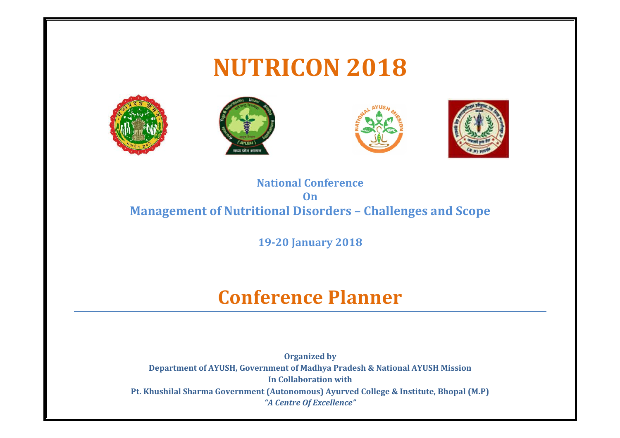







## **National Conference On Management of Nutritional Disorders – Challenges and Scope**

**19-20 January 2018**

# **Conference Planner**

**Organized by Department of AYUSH, Government of Madhya Pradesh & National AYUSH Mission In Collaboration with Pt. Khushilal Sharma Government (Autonomous) Ayurved College & Institute, Bhopal (M.P)** *"A Centre Of Excellence" "A Centre Of*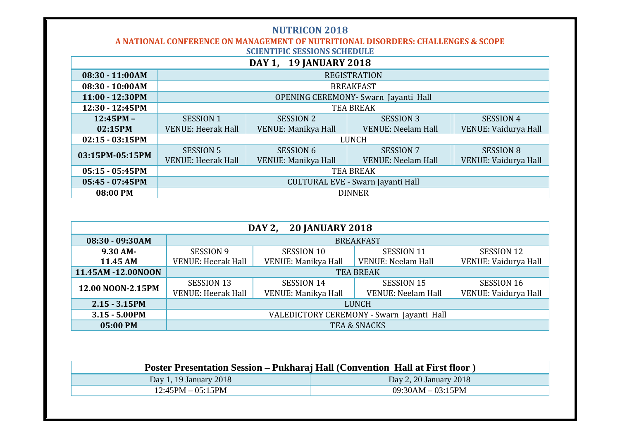**A NATIONAL CONFERENCE ON MANAGEMENT OF NUTRITIONAL DISORDERS: CHALLENGES & SCOPE SCIENTIFIC SESSIONS SCHEDULE**

| DAY 1, 19 JANUARY 2018 |                                      |                     |                           |                      |  |  |  |
|------------------------|--------------------------------------|---------------------|---------------------------|----------------------|--|--|--|
| 08:30 - 11:00AM        | <b>REGISTRATION</b>                  |                     |                           |                      |  |  |  |
| $08:30 - 10:00AM$      | <b>BREAKFAST</b>                     |                     |                           |                      |  |  |  |
| 11:00 - 12:30PM        | OPENING CEREMONY- Swarn Jayanti Hall |                     |                           |                      |  |  |  |
| 12:30 - 12:45PM        | <b>TEA BREAK</b>                     |                     |                           |                      |  |  |  |
| $12:45PM -$            | <b>SESSION 1</b>                     | <b>SESSION 2</b>    | <b>SESSION 3</b>          | <b>SESSION 4</b>     |  |  |  |
| 02:15PM                | <b>VENUE: Heerak Hall</b>            | VENUE: Manikya Hall | <b>VENUE: Neelam Hall</b> | VENUE: Vaidurya Hall |  |  |  |
| $02:15 - 03:15PM$      | <b>LUNCH</b>                         |                     |                           |                      |  |  |  |
| 03:15PM-05:15PM        | <b>SESSION 5</b>                     | <b>SESSION 6</b>    | <b>SESSION 7</b>          | <b>SESSION 8</b>     |  |  |  |
|                        | <b>VENUE: Heerak Hall</b>            | VENUE: Manikya Hall | <b>VENUE: Neelam Hall</b> | VENUE: Vaidurya Hall |  |  |  |
| $05:15 - 05:45PM$      | <b>TEA BREAK</b>                     |                     |                           |                      |  |  |  |
| $05:45 - 07:45PM$      | CULTURAL EVE - Swarn Jayanti Hall    |                     |                           |                      |  |  |  |
| 08:00 PM               | <b>DINNER</b>                        |                     |                           |                      |  |  |  |

| DAY 2, 20 JANUARY 2018 |                                           |                     |                           |                      |  |  |  |
|------------------------|-------------------------------------------|---------------------|---------------------------|----------------------|--|--|--|
| 08:30 - 09:30AM        | <b>BREAKFAST</b>                          |                     |                           |                      |  |  |  |
| $9.30$ AM-             | <b>SESSION 9</b>                          | <b>SESSION 10</b>   | <b>SESSION 11</b>         | <b>SESSION 12</b>    |  |  |  |
| 11.45 AM               | <b>VENUE: Heerak Hall</b>                 | VENUE: Manikya Hall | <b>VENUE: Neelam Hall</b> | VENUE: Vaidurya Hall |  |  |  |
| 11.45AM -12.00NOON     | <b>TEA BREAK</b>                          |                     |                           |                      |  |  |  |
| 12.00 NOON-2.15PM      | <b>SESSION 13</b>                         | SESSION 14          | <b>SESSION 15</b>         | <b>SESSION 16</b>    |  |  |  |
|                        | <b>VENUE: Heerak Hall</b>                 | VENUE: Manikya Hall | <b>VENUE: Neelam Hall</b> | VENUE: Vaidurya Hall |  |  |  |
| $2.15 - 3.15$ PM       | <b>LUNCH</b>                              |                     |                           |                      |  |  |  |
| $3.15 - 5.00$ PM       | VALEDICTORY CEREMONY - Swarn Jayanti Hall |                     |                           |                      |  |  |  |
| 05:00 PM               | <b>TEA &amp; SNACKS</b>                   |                     |                           |                      |  |  |  |

| Poster Presentation Session – Pukharaj Hall (Convention Hall at First floor) |                        |  |  |  |
|------------------------------------------------------------------------------|------------------------|--|--|--|
| Day 1, 19 January 2018                                                       | Day 2, 20 January 2018 |  |  |  |
| $12:45PM - 05:15PM$                                                          | $09:30AM - 03:15PM$    |  |  |  |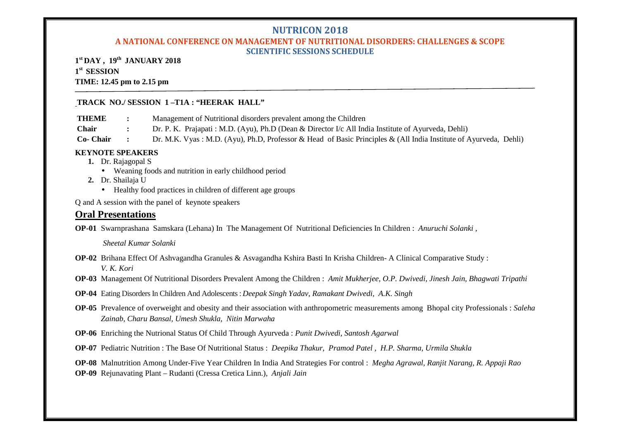## **A NATIONAL CONFERENCE ON MANAGEMENT OF NUTRITIONAL DISORDERS: CHALLENGES & SCOPE SCIENTIFIC SESSIONS SCHEDULE**

**1 st DAY , 19th JANUARY 2018 1 st SESSION TIME: 12.45 pm to 2.15 pm**

#### **TRACK NO./ SESSION 1 –T1A : "HEERAK HALL"**

**THEME :** Management of Nutritional disorders prevalent among the Children

**Chair :** Dr. P. K. Prajapati : M.D. (Ayu), Ph.D (Dean & Director I/c All India Institute of Ayurveda, Dehli)

**Co- Chair :** Dr. M.K. Vyas : M.D. (Ayu), Ph.D, Professor & Head of Basic Principles & (All India Institute of Ayurveda, Dehli)

## **KEYNOTE SPEAKERS**

- **1.** Dr. Rajagopal S
	- Weaning foods and nutrition in early childhood period
- **2.** Dr. Shailaja U
	- Healthy food practices in children of different age groups

Q and A session with the panel of keynote speakers

## **Oral Presentations**

**OP-01** Swarnprashana Samskara (Lehana) In The Management Of Nutritional Deficiencies In Children : *Anuruchi Solanki ,*

*Sheetal Kumar Solanki*

- **OP-02** Brihana Effect Of Ashvagandha Granules & Asvagandha Kshira Basti In Krisha Children- A Clinical Comparative Study : *V. K. Kori*
- **OP-03** Management Of Nutritional Disorders Prevalent Among the Children : *Amit Mukherjee, O.P. Dwivedi, Jinesh Jain, Bhagwati Tripathi*
- **OP-04** Eating Disorders In Children And Adolescents : *Deepak Singh Yadav, Ramakant Dwivedi, A.K. Singh*
- **OP-05** Prevalence of overweight and obesity and their association with anthropometric measurements among Bhopal city Professionals : *Saleha Zainab, Charu Bansal, Umesh Shukla, Nitin Marwaha*
- **OP-06** Enriching the Nutrional Status Of Child Through Ayurveda : *Punit Dwivedi, Santosh Agarwal*
- **OP-07** Pediatric Nutrition : The Base Of Nutritional Status : *Deepika Thakur, Pramod Patel , H.P. Sharma, Urmila Shukla*

**OP-08** Malnutrition Among Under-Five Year Children In India And Strategies For control : *Megha Agrawal, Ranjit Narang, R. Appaji Rao*

**OP-09** Rejunavating Plant – Rudanti (Cressa Cretica Linn.), *Anjali Jain*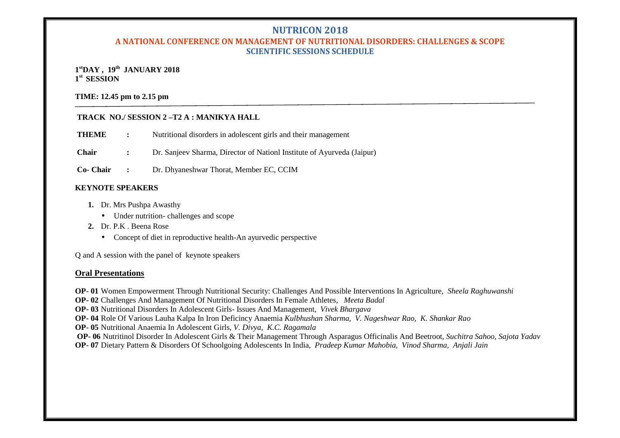## **A NATIONAL CONFERENCE ON MANAGEMENT OF NUTRITIONAL DISORDERS: CHALLENGES & SCOPE SCIENTIFIC SESSIONS SCHEDULE**

## **1 stDAY , 19th JANUARY 2018 1 st SESSION**

#### **TIME: 12.45 pm to 2.15 pm**

## **TRACK NO./ SESSION 2 –T2 A : MANIKYA HALL**

**THEME** : Nutritional disorders in adolescent girls and their management

**Chair :** Dr. Sanjeev Sharma, Director of Nationl Institute of Ayurveda (Jaipur)

**Co- Chair :** Dr. Dhyaneshwar Thorat, Member EC, CCIM

#### **KEYNOTE SPEAKERS**

- **1.** Dr. Mrs Pushpa Awasthy
	- Under nutrition- challenges and scope
- 2. Dr. P.K. Beena Rose
	- Concept of diet in reproductive health-An avurvedic perspective

Q and A session with the panel of keynote speakers

## **Oral Presentations**

**OP- 01** Women Empowerment Through Nutritional Security: Challenges And Possible Interventions In Agriculture, *Sheela Raghuwanshi*

**OP- 02** Challenges And Management Of Nutritional Disorders In Female Athletes, *Meeta Badal*

**OP- 03** Nutritional Disorders In Adolescent Girls- Issues And Management, *Vivek Bhargava*

**OP- 04** Role Of Various Lauha Kalpa In Iron Deficincy Anaemia *Kulbhushan Sharma, V. Nageshwar Rao, K. Shankar Rao*

**OP- 05** Nutritional Anaemia In Adolescent Girls, *V. Divya, K.C. Ragamala*

**OP- 06** Nutritinol Disorder In Adolescent Girls & Their Management Through Asparagus Officinalis And Beetroot, *Suchitra Sahoo, Sajota Yadav* **OP- 07** Dietary Pattern & Disorders Of Schoolgoing Adolescents In India, *Pradeep Kumar Mahobia, Vinod Sharma, Anjali Jain*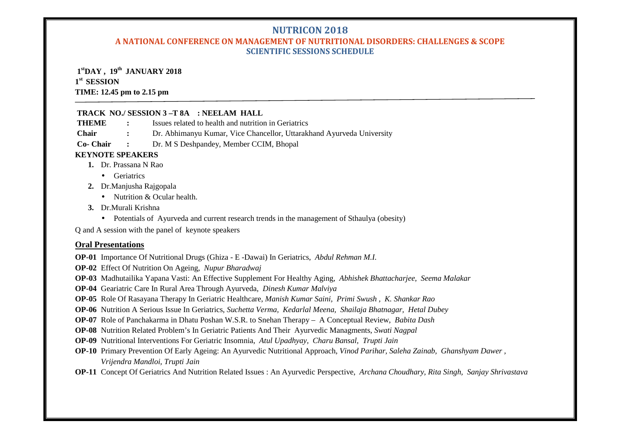## **A NATIONAL CONFERENCE ON MANAGEMENT OF NUTRITIONAL DISORDERS: CHALLENGES & SCOPE SCIENTIFIC SESSIONS SCHEDULE**

## **1 stDAY , 19th JANUARY 2018**

## **1 st SESSION**

## **TIME: 12.45 pm to 2.15 pm**

## **TRACK NO./ SESSION 3 –T 8A : NEELAM HALL**

**THEME :** Issues related to health and nutrition in Geriatrics

- **Chair :** Dr. Abhimanyu Kumar, Vice Chancellor, Uttarakhand Ayurveda University
- **Co- Chair :** Dr. M S Deshpandey, Member CCIM, Bhopal

## **KEYNOTE SPEAKERS**

- **1.** Dr. Prassana N Rao
	- Geriatrics
- **2.** Dr.Manjusha Rajgopala
	- Nutrition & Ocular health.
- **3.** Dr.Murali Krishna
	- Potentials of Ayurveda and current research trends in the management of Sthaulya (obesity)
- Q and A session with the panel of keynote speakers

## **Oral Presentations**

**OP-01** Importance Of Nutritional Drugs (Ghiza - E -Dawai) In Geriatrics, *Abdul Rehman M.I.*

- **OP-02** Effect Of Nutrition On Ageing, *Nupur Bharadwaj*
- **OP-03** Madhutailika Yapana Vasti: An Effective Supplement For Healthy Aging, *Abhishek Bhattacharjee, Seema Malakar*
- **OP-04** Geariatric Care In Rural Area Through Ayurveda, *Dinesh Kumar Malviya*
- **OP-05** Role Of Rasayana Therapy In Geriatric Healthcare, *Manish Kumar Saini, Primi Swush , K. Shankar Rao*
- **OP-06** Nutrition A Serious Issue In Geriatrics, *Suchetta Verma, Kedarlal Meena, Shailaja Bhatnagar, Hetal Dubey*
- **OP-07** Role of Panchakarma in Dhatu Poshan W.S.R. to Snehan Therapy A Conceptual Review, *Babita Dash*
- **OP-08** Nutrition Related Problem's In Geriatric Patients And Their Ayurvedic Managments, *Swati Nagpal*
- **OP-09** Nutritional Interventions For Geriatric Insomnia, *Atul Upadhyay, Charu Bansal, Trupti Jain*
- **OP-10** Primary Prevention Of Early Ageing: An Ayurvedic Nutritional Approach, *Vinod Parihar, Saleha Zainab, Ghanshyam Dawer , Vrijendra Mandloi, Trupti Jain*
- **OP-11** Concept Of Geriatrics And Nutrition Related Issues : An Ayurvedic Perspective, *Archana Choudhary, Rita Singh, Sanjay Shrivastava*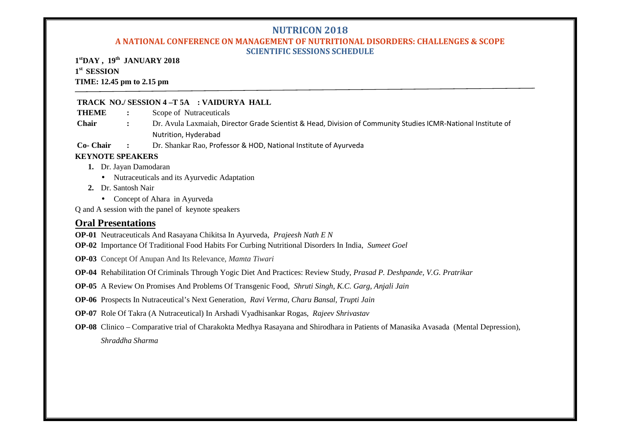#### **A NATIONAL CONFERENCE ON MANAGEMENT OF NUTRITIONAL DISORDERS: CHALLENGES & SCOPE SCIENTIFIC SESSIONS SCHEDULE**

**1 stDAY , 19th JANUARY 2018 1 st SESSION TIME: 12.45 pm to 2.15 pm**

## **TRACK NO./ SESSION 4 –T 5A : VAIDURYA HALL**

**THEME :** Scope of Nutraceuticals

- **Chair :** Dr. Avula Laxmaiah, Director Grade Scientist & Head, Division of Community Studies ICMR-National Institute of Nutrition, Hyderabad
- **Co- Chair :** Dr. Shankar Rao, Professor & HOD, National Institute of Ayurveda

#### **KEYNOTE SPEAKERS**

- **1.** Dr. Jayan Damodaran
	- Nutraceuticals and its Ayurvedic Adaptation
- **2.** Dr. Santosh Nair
	- Concept of Ahara in Ayurveda

Q and A session with the panel of keynote speakers

## **Oral Presentations**

- **OP-01** Neutraceuticals And Rasayana Chikitsa In Ayurveda, *Prajeesh Nath E N*
- **OP-02** Importance Of Traditional Food Habits For Curbing Nutritional Disorders In India, *Sumeet Goel*
- **OP-03** Concept Of Anupan And Its Relevance, *Mamta Tiwari*
- **OP-04** Rehabilitation Of Criminals Through Yogic Diet And Practices: Review Study, *Prasad P. Deshpande, V.G. Pratrikar*
- **OP-05** A Review On Promises And Problems Of Transgenic Food, *Shruti Singh, K.C. Garg, Anjali Jain*
- **OP-06** Prospects In Nutraceutical's Next Generation, *Ravi Verma, Charu Bansal, Trupti Jain*
- **OP-07** Role Of Takra (A Nutraceutical) In Arshadi Vyadhisankar Rogas, *Rajeev Shrivastav*
- **OP-08** Clinico Comparative trial of Charakokta Medhya Rasayana and Shirodhara in Patients of Manasika Avasada (Mental Depression), *Shraddha Sharma*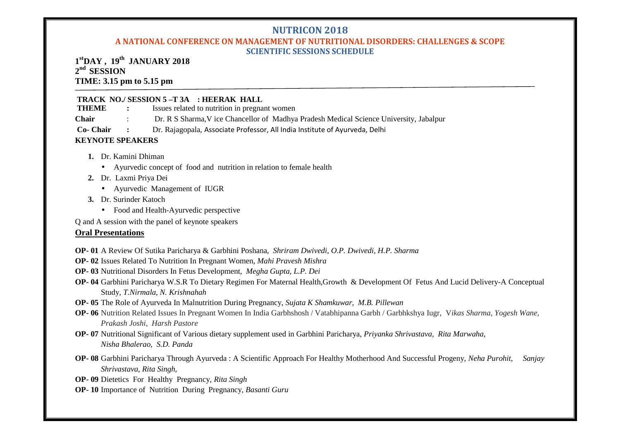## **A NATIONAL CONFERENCE ON MANAGEMENT OF NUTRITIONAL DISORDERS: CHALLENGES & SCOPE SCIENTIFIC SESSIONS SCHEDULE**

## **1 stDAY , 19th JANUARY 2018 2 nd SESSION TIME: 3.15 pm to 5.15 pm**

## **TRACK NO./ SESSION 5 –T 3A : HEERAK HALL**<br>**THEME** : Issues related to nutrition in pregna

**The Issues related to nutrition in pregnant women** 

- **Chair** : Dr. R S Sharma,V ice Chancellor of Madhya Pradesh Medical Science University, Jabalpur
- **Co- Chair :** Dr. Rajagopala, Associate Professor, All India Institute of Ayurveda, Delhi

## **KEYNOTE SPEAKERS**

- **1.** Dr. Kamini Dhiman
	- Ayurvedic concept of food and nutrition in relation to female health
- **2.** Dr. Laxmi Priya Dei
	- Ayurvedic Management of IUGR
- **3.** Dr. Surinder Katoch
	- Food and Health-Ayurvedic perspective

Q and A session with the panel of keynote speakers

## **Oral Presentations**

**OP- 01** A Review Of Sutika Paricharya & Garbhini Poshana, *Shriram Dwivedi, O.P. Dwivedi, H.P. Sharma*

- **OP- 02** Issues Related To Nutrition In Pregnant Women, *Mahi Pravesh Mishra*
- **OP- 03** Nutritional Disorders In Fetus Development, *Megha Gupta, L.P. Dei*
- **OP- 04** Garbhini Paricharya W.S.R To Dietary Regimen For Maternal Health,Growth & Development Of Fetus And Lucid Delivery-A Conceptual Study, *T.Nirmala, N. Krishnahah*
- **OP- 05** The Role of Ayurveda In Malnutrition During Pregnancy, *Sujata K Shamkuwar, M.B. Pillewan*
- **OP- 06** Nutrition Related Issues In Pregnant Women In India Garbhshosh / Vatabhipanna Garbh / Garbhkshya Iugr, V*ikas Sharma, Yogesh Wane, Prakash Joshi, Harsh Pastore*
- **OP- 07** Nutritional Significant of Various dietary supplement used in Garbhini Paricharya, *Priyanka Shrivastava, Rita Marwaha, Nisha Bhalerao, S.D. Panda*
- **OP- 08** Garbhini Paricharya Through Ayurveda : A Scientific Approach For Healthy Motherhood And Successful Progeny, *Neha Purohit, Sanjay Shrivastava, Rita Singh,*
- **OP- 09** Dietetics For Healthy Pregnancy*, Rita Singh*
- **OP- 10** Importance of Nutrition During Pregnancy, *Basanti Guru*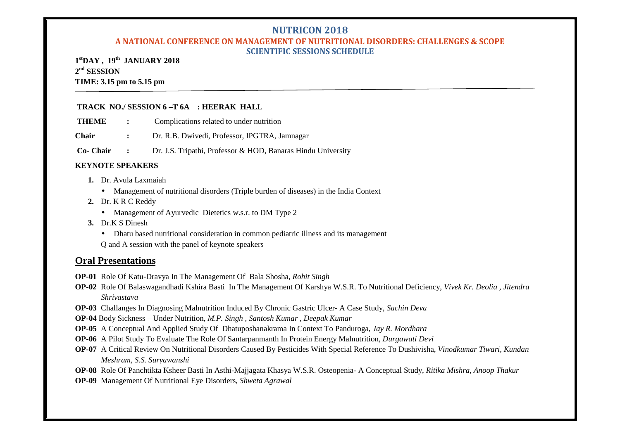## **A NATIONAL CONFERENCE ON MANAGEMENT OF NUTRITIONAL DISORDERS: CHALLENGES & SCOPE SCIENTIFIC SESSIONS SCHEDULE**

**1 stDAY , 19th JANUARY 2018 2 nd SESSION TIME: 3.15 pm to 5.15 pm**

#### **TRACK NO./ SESSION 6 –T 6A : HEERAK HALL**

**THEME :** Complications related to under nutrition

**Chair :** Dr. R.B. Dwivedi, Professor, IPGTRA, Jamnagar

**Co- Chair :** Dr. J.S. Tripathi, Professor & HOD, Banaras Hindu University

#### **KEYNOTE SPEAKERS**

- **1.** Dr. Avula Laxmaiah
	- Management of nutritional disorders (Triple burden of diseases) in the India Context
- **2.** Dr. K R C Reddy
	- Management of Ayurvedic Dietetics w.s.r. to DM Type 2
- **3.** Dr.K S Dinesh
	- Dhatu based nutritional consideration in common pediatric illness and its management
	- Q and A session with the panel of keynote speakers

## **Oral Presentations**

**OP-01** Role Of Katu-Dravya In The Management Of Bala Shosha, *Rohit Singh*

- **OP-02** Role Of Balaswagandhadi Kshira Basti In The Management Of Karshya W.S.R. To Nutritional Deficiency, *Vivek Kr. Deolia , Jitendra Shrivastava*
- **OP-03** Challanges In Diagnosing Malnutrition Induced By Chronic Gastric Ulcer- A Case Study, *Sachin Deva*
- **OP-04** Body Sickness Under Nutrition, *M.P. Singh , Santosh Kumar , Deepak Kumar*
- **OP-05** A Conceptual And Applied Study Of Dhatuposhanakrama In Context To Panduroga, *Jay R. Mordhara*
- **OP-06** A Pilot Study To Evaluate The Role Of Santarpanmanth In Protein Energy Malnutrition, *Durgawati Devi*
- **OP-07** A Critical Review On Nutritional Disorders Caused By Pesticides With Special Reference To Dushivisha, *Vinodkumar Tiwari, Kundan Meshram, S.S. Suryawanshi*
- **OP-08** Role Of Panchtikta Ksheer Basti In Asthi-Majjagata Khasya W.S.R. Osteopenia- A Conceptual Study, *Ritika Mishra, Anoop Thakur*
- **OP-09** Management Of Nutritional Eye Disorders, *Shweta Agrawal*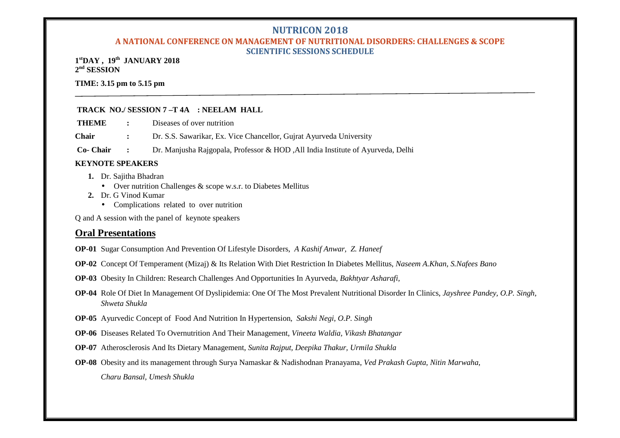## **A NATIONAL CONFERENCE ON MANAGEMENT OF NUTRITIONAL DISORDERS: CHALLENGES & SCOPE SCIENTIFIC SESSIONS SCHEDULE**

**1 stDAY , 19th JANUARY 2018 2 nd SESSION**

**TIME: 3.15 pm to 5.15 pm**

## **TRACK NO./ SESSION 7 –T 4A : NEELAM HALL**

**THEME :** Diseases of over nutrition

**Chair :** Dr. S.S. Sawarikar, Ex. Vice Chancellor, Gujrat Ayurveda University

**Co- Chair :** Dr. Manjusha Rajgopala, Professor & HOD ,All India Institute of Ayurveda, Delhi

## **KEYNOTE SPEAKERS**

- **1.** Dr. Sajitha Bhadran
	- Over nutrition Challenges & scope w.s.r. to Diabetes Mellitus
- **2.** Dr. G Vinod Kumar
	- Complications related to over nutrition

Q and A session with the panel of keynote speakers

## **Oral Presentations**

**OP-01** Sugar Consumption And Prevention Of Lifestyle Disorders, *A Kashif Anwar, Z. Haneef*

- **OP-02** Concept Of Temperament (Mizaj) & Its Relation With Diet Restriction In Diabetes Mellitus, *Naseem A.Khan, S.Nafees Bano*
- **OP-03** Obesity In Children: Research Challenges And Opportunities In Ayurveda, *Bakhtyar Asharafi,*
- **OP-04** Role Of Diet In Management Of Dyslipidemia: One Of The Most Prevalent Nutritional Disorder In Clinics, *Jayshree Pandey, O.P. Singh, Shweta Shukla*
- **OP-05** Ayurvedic Concept of Food And Nutrition In Hypertension*, Sakshi Negi, O.P. Singh*
- **OP-06** Diseases Related To Overnutrition And Their Management, *Vineeta Waldia, Vikash Bhatangar*
- **OP-07** Atherosclerosis And Its Dietary Management, *Sunita Rajput, Deepika Thakur, Urmila Shukla*
- **OP-08** Obesity and its management through Surya Namaskar & Nadishodnan Pranayama, *Ved Prakash Gupta, Nitin Marwaha, Charu Bansal, Umesh Shukla*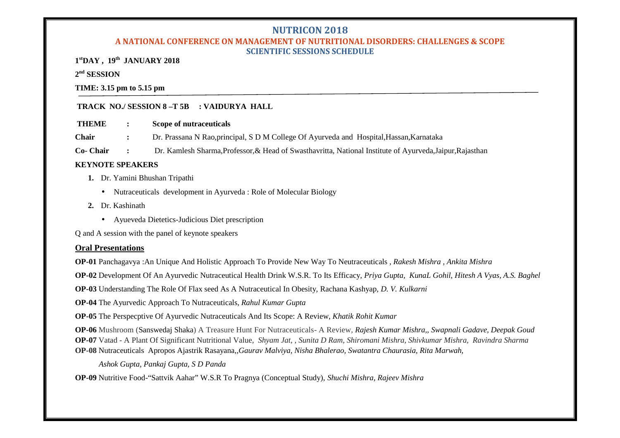## **A NATIONAL CONFERENCE ON MANAGEMENT OF NUTRITIONAL DISORDERS: CHALLENGES & SCOPE SCIENTIFIC SESSIONS SCHEDULE**

**1 stDAY , 19th JANUARY 2018**

**2 nd SESSION**

**TIME: 3.15 pm to 5.15 pm**

## **TRACK NO./ SESSION 8 –T 5B : VAIDURYA HALL**

**THEME : Scope of nutraceuticals**

**Chair :** Dr. Prassana N Rao,principal, S D M College Of Ayurveda and Hospital,Hassan,Karnataka

**Co- Chair :** Dr. Kamlesh Sharma,Professor,& Head of Swasthavritta, National Institute of Ayurveda,Jaipur,Rajasthan

## **KEYNOTE SPEAKERS**

- **1.** Dr. Yamini Bhushan Tripathi
	- Nutraceuticals development in Ayurveda : Role of Molecular Biology
- **2.** Dr. Kashinath
	- Ayueveda Dietetics-Judicious Diet prescription

Q and A session with the panel of keynote speakers

## **Oral Presentations**

**OP-01** Panchagavya :An Unique And Holistic Approach To Provide New Way To Neutraceuticals *, Rakesh Mishra , Ankita Mishra*

**OP-02** Development Of An Ayurvedic Nutraceutical Health Drink W.S.R. To Its Efficacy, *Priya Gupta, KunaL Gohil, Hitesh A Vyas, A.S. Baghel*

**OP-03** Understanding The Role Of Flax seed As A Nutraceutical In Obesity, Rachana Kashyap*, D. V. Kulkarni*

**OP-04** The Ayurvedic Approach To Nutraceuticals*, Rahul Kumar Gupta*

**OP-05** The Perspecptive Of Ayurvedic Nutraceuticals And Its Scope: A Review, *Khatik Rohit Kumar*

**OP-06** Mushroom (Sanswedaj Shaka) A Treasure Hunt For Nutraceuticals- A Review*, Rajesh Kumar Mishra,, Swapnali Gadave, Deepak Goud* **OP-07** Vatad - A Plant Of Significant Nutritional Value*, Shyam Jat, , Sunita D Ram, Shiromani Mishra, Shivkumar Mishra, Ravindra Sharma* **OP-08** Nutraceuticals Apropos Ajastrik Rasayana*,,Gaurav Malviya, Nisha Bhalerao, Swatantra Chaurasia, Rita Marwah,*

*Ashok Gupta, Pankaj Gupta, S D Panda*

**OP-09** Nutritive Food-"Sattvik Aahar" W.S.R To Pragnya (Conceptual Study), *Shuchi Mishra, Rajeev Mishra*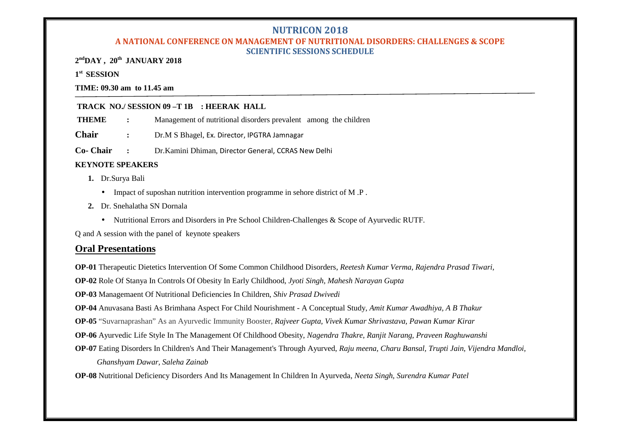## **A NATIONAL CONFERENCE ON MANAGEMENT OF NUTRITIONAL DISORDERS: CHALLENGES & SCOPE SCIENTIFIC SESSIONS SCHEDULE**

**2 ndDAY , 20th JANUARY 2018**

**1 st SESSION**

**TIME: 09.30 am to 11.45 am**

## **TRACK NO./ SESSION 09 –T 1B : HEERAK HALL**

**THEME :** Management of nutritional disorders prevalent among the children

**Chair :** Dr.M S Bhagel, Ex. Director, IPGTRA Jamnagar

**Co- Chair :** Dr.Kamini Dhiman, Director General, CCRAS New Delhi

## **KEYNOTE SPEAKERS**

- **1.** Dr.Surya Bali
	- Impact of suposhan nutrition intervention programme in sehore district of M .P .
- **2.** Dr. Snehalatha SN Dornala
	- Nutritional Errors and Disorders in Pre School Children-Challenges & Scope of Ayurvedic RUTF.

Q and A session with the panel of keynote speakers

## **Oral Presentations**

**OP-01** Therapeutic Dietetics Intervention Of Some Common Childhood Disorders, *Reetesh Kumar Verma, Rajendra Prasad Tiwari,*

**OP-02** Role Of Stanya In Controls Of Obesity In Early Childhood, *Jyoti Singh, Mahesh Narayan Gupta*

**OP-03** Managemaent Of Nutritional Deficiencies In Children, *Shiv Prasad Dwivedi*

**OP-04** Anuvasana Basti As Brimhana Aspect For Child Nourishment - A Conceptual Study, *Amit Kumar Awadhiya, A B Thakur*

**OP-05** "Suvarnaprashan" As an Ayurvedic Immunity Booster, *Rajveer Gupta, Vivek Kumar Shrivastava, Pawan Kumar Kirar*

**OP-06** Ayurvedic Life Style In The Management Of Childhood Obesity, *Nagendra Thakre, Ranjit Narang, Praveen Raghuwanshi*

**OP-07** Eating Disorders In Children's And Their Management's Through Ayurved, *Raju meena, Charu Bansal, Trupti Jain, Vijendra Mandloi, Ghanshyam Dawar, Saleha Zainab*

**OP-08** Nutritional Deficiency Disorders And Its Management In Children In Ayurveda, *Neeta Singh, Surendra Kumar Patel*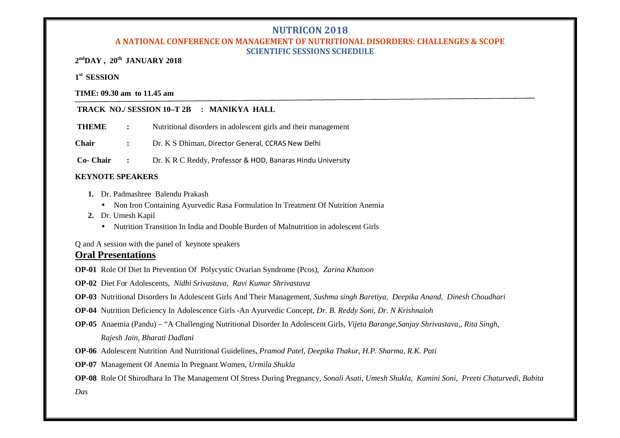#### **A NATIONAL CONFERENCE ON MANAGEMENT OF NUTRITIONAL DISORDERS: CHALLENGES & SCOPE SCIENTIFIC SESSIONS SCHEDULE**

**2 ndDAY , 20th JANUARY 2018**

## **1 st SESSION**

**TIME: 09.30 am to 11.45 am**

## **TRACK NO./ SESSION 10–T 2B : MANIKYA HALL**

**THEME** : Nutritional disorders in adolescent girls and their management

**Chair :** Dr. K S Dhiman, Director General, CCRAS New Delhi

**Co- Chair :** Dr. K R C Reddy, Professor & HOD, Banaras Hindu University

## **KEYNOTE SPEAKERS**

- **1.** Dr. Padmashree Balendu Prakash
	- Non Iron Containing Ayurvedic Rasa Formulation In Treatment Of Nutrition Anemia
- **2.** Dr. Umesh Kapil
	- Nutrition Transition In India and Double Burden of Malnutrition in adolescent Girls

Q and A session with the panel of keynote speakers

## **Oral Presentations**

- **OP-01** Role Of Diet In Prevention Of Polycystic Ovarian Syndrome (Pcos), *Zarina Khatoon*
- **OP-02** Diet For Adolescents, *Nidhi Srivastava, Ravi Kumar Shrivastava*
- **OP-03** Nutritional Disorders In Adolescent Girls And Their Management, *Sushma singh Baretiya, Deepika Anand, Dinesh Choudhari*
- **OP-04** Nutrition Deficiency In Adolescence Girls -An Ayurvedic Concept, *Dr. B. Reddy Soni, Dr. N Krishnaioh*
- **OP-05** Anaemia (Pandu) "A Challenging Nutritional Disorder In Adolescent Girls, *Vijeta Barange,Sanjay Shrivastava,, Rita Singh, Rajesh Jain, Bharati Dadlani*
- **OP-06** Adolescent Nutrition And Nutritional Guidelines, *Pramod Patel, Deepika Thakur, H.P. Sharma, R.K. Pati*
- **OP-07** Management Of Anemia In Pregnant Women, *Urmila Shukla*

**OP-08** Role Of Shirodhara In The Management Of Stress During Pregnancy, *Sonali Asati, Umesh Shukla, Kamini Soni, Preeti Chaturvedi, Babita*

*Das*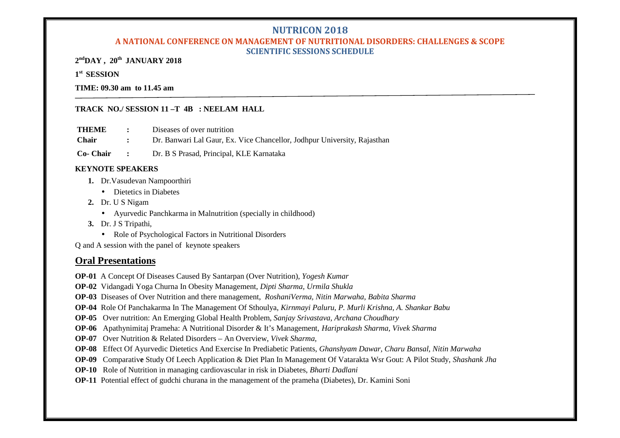## **A NATIONAL CONFERENCE ON MANAGEMENT OF NUTRITIONAL DISORDERS: CHALLENGES & SCOPE SCIENTIFIC SESSIONS SCHEDULE**

**2 ndDAY , 20th JANUARY 2018**

## **1 st SESSION**

#### **TIME: 09.30 am to 11.45 am**

#### **TRACK NO./ SESSION 11 –T 4B : NEELAM HALL**

**THEME :** Diseases of over nutrition

**Chair :** Dr. Banwari Lal Gaur, Ex. Vice Chancellor, Jodhpur University, Rajasthan

**Co- Chair :** Dr. B S Prasad, Principal, KLE Karnataka

#### **KEYNOTE SPEAKERS**

- **1.** Dr.Vasudevan Nampoorthiri
	- Dietetics in Diabetes
- **2.** Dr. U S Nigam
	- Ayurvedic Panchkarma in Malnutrition (specially in childhood)
- **3.** Dr. J S Tripathi,
	- Role of Psychological Factors in Nutritional Disorders

Q and A session with the panel of keynote speakers

## **Oral Presentations**

**OP-01** A Concept Of Diseases Caused By Santarpan (Over Nutrition), *Yogesh Kumar*

**OP-02** Vidangadi Yoga Churna In Obesity Management, *Dipti Sharma, Urmila Shukla*

**OP-03** Diseases of Over Nutrition and there management, *RoshaniVerma, Nitin Marwaha, Babita Sharma*

**OP-04** Role Of Panchakarma In The Management Of Sthoulya, *Kirnmayi Paluru, P. Murli Krishna, A. Shankar Babu*

- **OP-05** Over nutrition: An Emerging Global Health Problem, *Sanjay Srivastava, Archana Choudhary*
- **OP-06** Apathynimitaj Prameha: A Nutritional Disorder & It's Management, *Hariprakash Sharma, Vivek Sharma*
- **OP-07** Over Nutrition & Related Disorders An Overview, *Vivek Sharma,*
- **OP-08** Effect Of Ayurvedic Dietetics And Exercise In Prediabetic Patients, *Ghanshyam Dawar, Charu Bansal, Nitin Marwaha*
- **OP-09** Comparativ**e** Study Of Leech Application & Diet Plan In Management Of Vatarakta Wsr Gout: A Pilot Study, *Shashank Jha*
- **OP-10** Role of Nutrition in managing cardiovascular in risk in Diabetes, *Bharti Dadlani*
- **OP-11** Potential effect of gudchi churana in the management of the prameha (Diabetes), Dr. Kamini Soni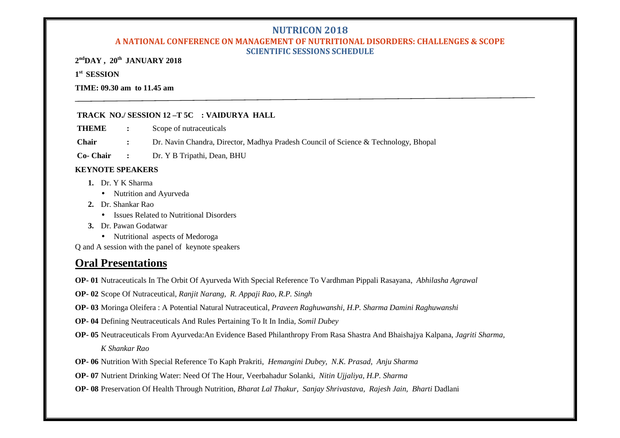## **A NATIONAL CONFERENCE ON MANAGEMENT OF NUTRITIONAL DISORDERS: CHALLENGES & SCOPE SCIENTIFIC SESSIONS SCHEDULE**

**2 ndDAY , 20th JANUARY 2018**

## **1 st SESSION**

#### **TIME: 09.30 am to 11.45 am**

#### **TRACK NO./ SESSION 12 –T 5C : VAIDURYA HALL**

**THEME :** Scope of nutraceuticals

**Chair :** Dr. Navin Chandra, Director, Madhya Pradesh Council of Science & Technology, Bhopal

**Co- Chair :** Dr. Y B Tripathi, Dean, BHU

## **KEYNOTE SPEAKERS**

- **1.** Dr. Y K Sharma
	- Nutrition and Ayurveda
- **2.** Dr. Shankar Rao
	- Issues Related to Nutritional Disorders
- **3.** Dr. Pawan Godatwar
	- Nutritional aspects of Medoroga

Q and A session with the panel of keynote speakers

## **Oral Presentations**

- **OP- 01** Nutraceuticals In The Orbit Of Ayurveda With Special Reference To Vardhman Pippali Rasayana, *Abhilasha Agrawal*
- **OP- 02** Scope Of Nutraceutical, *Ranjit Narang, R. Appaji Rao, R.P. Singh*
- **OP- 03** Moringa Oleifera : A Potential Natural Nutraceutical, *Praveen Raghuwanshi, H.P. Sharma Damini Raghuwanshi*
- **OP- 04** Defining Neutraceuticals And Rules Pertaining To It In India, *Somil Dubey*
- **OP- 05** Neutraceuticals From Ayurveda:An Evidence Based Philanthropy From Rasa Shastra And Bhaishajya Kalpana, *Jagriti Sharma, K Shankar Rao*
- **OP- 06** Nutrition With Special Reference To Kaph Prakriti, *Hemangini Dubey, N.K. Prasad, Anju Sharma*
- **OP- 07** Nutrient Drinking Water: Need Of The Hour, Veerbahadur Solanki, *Nitin Ujjaliya, H.P. Sharma*
- **OP- 08** Preservation Of Health Through Nutrition, *Bharat Lal Thakur, Sanjay Shrivastava, Rajesh Jain, Bharti* Dadlani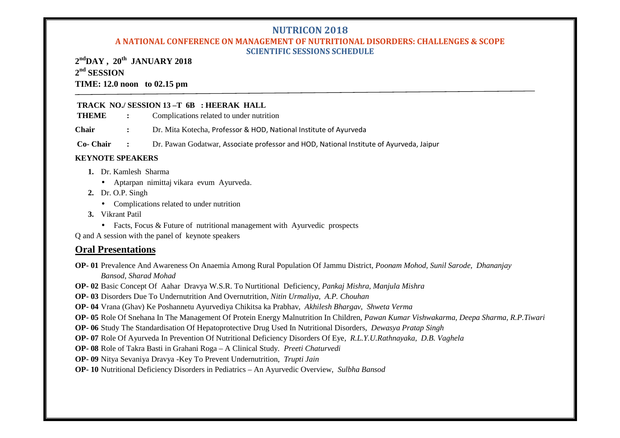## **A NATIONAL CONFERENCE ON MANAGEMENT OF NUTRITIONAL DISORDERS: CHALLENGES & SCOPE SCIENTIFIC SESSIONS SCHEDULE**

**2 ndDAY , 20th JANUARY 2018 2 nd SESSION TIME: 12.0 noon to 02.15 pm**

## **TRACK NO./ SESSION 13 –T 6B : HEERAK HALL**

| <b>THEME</b> | Complications related to under nutrition |  |
|--------------|------------------------------------------|--|
|--------------|------------------------------------------|--|

**Chair :** Dr. Mita Kotecha, Professor & HOD, National Institute of Ayurveda

**Co- Chair :** Dr. Pawan Godatwar, Associate professor and HOD, National Institute of Ayurveda, Jaipur

## **KEYNOTE SPEAKERS**

- **1.** Dr. Kamlesh Sharma
	- Aptarpan nimittaj vikara evum Ayurveda.
- **2.** Dr. O.P. Singh
	- Complications related to under nutrition
- **3.** Vikrant Patil
	- Facts, Focus & Future of nutritional management with Avurvedic prospects

Q and A session with the panel of keynote speakers

## **Oral Presentations**

**OP- 01** Prevalence And Awareness On Anaemia Among Rural Population Of Jammu District, *Poonam Mohod, Sunil Sarode, Dhananjay Bansod, Sharad Mohad*

**OP- 02** Basic Concept Of Aahar Dravya W.S.R. To Nurtitional Deficiency, *Pankaj Mishra, Manjula Mishra*

**OP- 03** Disorders Due To Undernutrition And Overnutrition, *Nitin Urmaliya, A.P. Chouhan*

**OP- 04** Vrana (Ghav) Ke Poshannetu Ayurvediya Chikitsa ka Prabhav, *Akhilesh Bhargav, Shweta Verma*

**OP- 05** Role Of Snehana In The Management Of Protein Energy Malnutrition In Children, *Pawan Kumar Vishwakarma, Deepa Sharma, R.P.Tiwari*

**OP- 06** Study The Standardisation Of Hepatoprotective Drug Used In Nutritional Disorders, *Dewasya Pratap Singh*

**OP- 07** Role Of Ayurveda In Prevention Of Nutritional Deficiency Disorders Of Eye*, R.L.Y.U.Rathnayaka, D.B. Vaghela*

**OP- 08** Role of Takra Basti in Grahani Roga – A Clinical Study. *Preeti Chaturvedi*

**OP- 09** Nitya Sevaniya Dravya -Key To Prevent Undernutrition, *Trupti Jain*

**OP- 10** Nutritional Deficiency Disorders in Pediatrics – An Ayurvedic Overview, *Sulbha Bansod*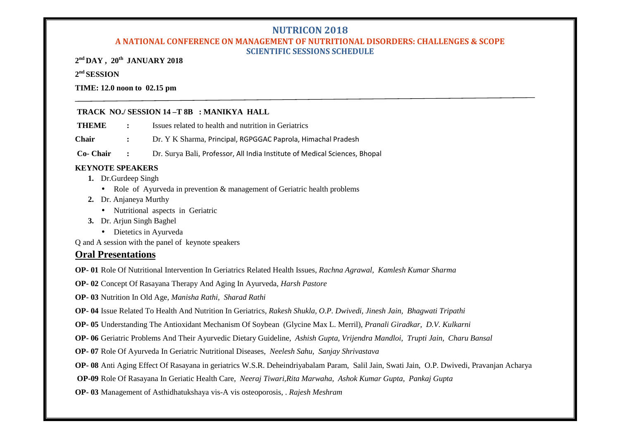## **A NATIONAL CONFERENCE ON MANAGEMENT OF NUTRITIONAL DISORDERS: CHALLENGES & SCOPE SCIENTIFIC SESSIONS SCHEDULE**

**2 nd DAY , 20th JANUARY 2018**

## **2 nd SESSION**

#### **TIME: 12.0 noon to 02.15 pm**

## **TRACK NO./ SESSION 14 –T 8B : MANIKYA HALL**

- **THEME :** Issues related to health and nutrition in Geriatrics
- **Chair :** Dr. Y K Sharma, Principal, RGPGGAC Paprola, Himachal Pradesh

**Co- Chair :** Dr. Surya Bali, Professor, All India Institute of Medical Sciences, Bhopal

## **KEYNOTE SPEAKERS**

- **1.** Dr.Gurdeep Singh
	- Role of Ayurveda in prevention & management of Geriatric health problems
- **2.** Dr. Anjaneya Murthy
	- Nutritional aspects in Geriatric
- **3.** Dr. Arjun Singh Baghel
	- Dietetics in Ayurveda

Q and A session with the panel of keynote speakers

## **Oral Presentations**

**OP- 01** Role Of Nutritional Intervention In Geriatrics Related Health Issues, *Rachna Agrawal, Kamlesh Kumar Sharma*

**OP- 02** Concept Of Rasayana Therapy And Aging In Ayurveda, *Harsh Pastore*

- **OP- 03** Nutrition In Old Age, *Manisha Rathi, Sharad Rathi*
- **OP- 04** Issue Related To Health And Nutrition In Geriatrics*, Rakesh Shukla, O.P. Dwivedi, Jinesh Jain, Bhagwati Tripathi*
- **OP- 05** Understanding The Antioxidant Mechanism Of Soybean (Glycine Max L. Merril), *Pranali Giradkar, D.V. Kulkarni*
- **OP- 06** Geriatric Problems And Their Ayurvedic Dietary Guideline*, Ashish Gupta, Vrijendra Mandloi, Trupti Jain, Charu Bansal*
- **OP- 07** Role Of Ayurveda In Geriatric Nutritional Diseases, *Neelesh Sahu, Sanjay Shrivastava*
- **OP- 08** Anti Aging Effect Of Rasayana in geriatrics W.S.R. Deheindriyabalam Param, Salil Jain, Swati Jain, O.P. Dwivedi, Pravanjan Acharya
- **OP-09** Role Of Rasayana In Geriatic Health Care, *Neeraj Tiwari,Rita Marwaha, Ashok Kumar Gupta, Pankaj Gupta*
- **OP- 03** Management of Asthidhatukshaya vis-A vis osteoporosis, . *Rajesh Meshram*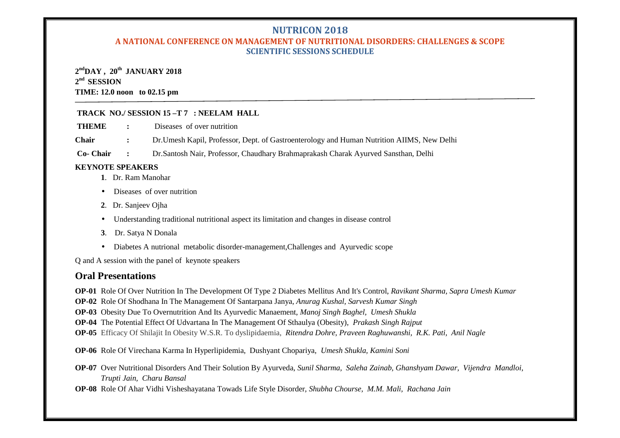## **A NATIONAL CONFERENCE ON MANAGEMENT OF NUTRITIONAL DISORDERS: CHALLENGES & SCOPE SCIENTIFIC SESSIONS SCHEDULE**

## **2 ndDAY , 20th JANUARY 2018 2 nd SESSION TIME: 12.0 noon to 02.15 pm**

## **TRACK NO./ SESSION 15 –T 7 : NEELAM HALL**

**THEME :** Diseases of over nutrition

**Chair :** Dr.Umesh Kapil, Professor, Dept. of Gastroenterology and Human Nutrition AIIMS, New Delhi

**Co- Chair :** Dr.Santosh Nair, Professor, Chaudhary Brahmaprakash Charak Ayurved Sansthan, Delhi

## **KEYNOTE SPEAKERS**

- **1**. Dr. Ram Manohar
- Diseases of over nutrition
- **2**. Dr. Sanjeev Ojha
- Understanding traditional nutritional aspect its limitation and changes in disease control
- **3**. Dr. Satya N Donala
- Diabetes A nutrional metabolic disorder-management,Challenges and Ayurvedic scope

Q and A session with the panel of keynote speakers

## **Oral Presentations**

**OP-01** Role Of Over Nutrition In The Development Of Type 2 Diabetes Mellitus And It's Control, *Ravikant Sharma, Sapra Umesh Kumar*

**OP-02** Role Of Shodhana In The Management Of Santarpana Janya, *Anurag Kushal, Sarvesh Kumar Singh*

**OP-03** Obesity Due To Overnutrition And Its Ayurvedic Manaement, *Manoj Singh Baghel, Umesh Shukla*

**OP-04** The Potential Effect Of Udvartana In The Management Of Sthaulya (Obesity), *Prakash Singh Rajput*

**OP-05** Efficacy Of Shilajit In Obesity W.S.R. To dyslipidaemia, *Ritendra Dohre, Praveen Raghuwanshi, R.K. Pati, Anil Nagle*

**OP-06** Role Of Virechana Karma In Hyperlipidemia, Dushyant Chopariya, *Umesh Shukla, Kamini Soni*

**OP-07** Over Nutritional Disorders And Their Solution By Ayurveda, *Sunil Sharma, Saleha Zainab, Ghanshyam Dawar, Vijendra Mandloi, Trupti Jain, Charu Bansal*

**OP-08** Role Of Ahar Vidhi Visheshayatana Towads Life Style Disorder, *Shubha Chourse, M.M. Mali, Rachana Jain*